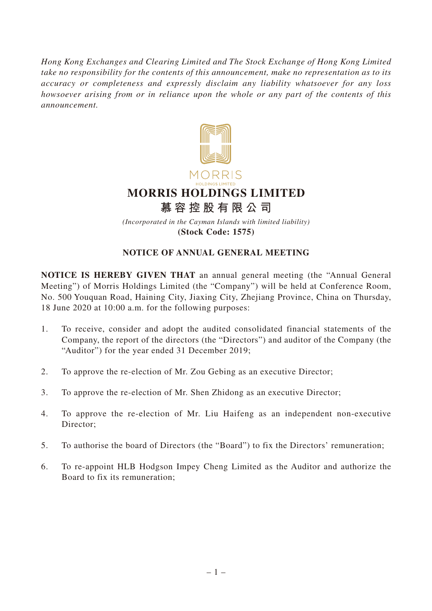*Hong Kong Exchanges and Clearing Limited and The Stock Exchange of Hong Kong Limited take no responsibility for the contents of this announcement, make no representation as to its accuracy or completeness and expressly disclaim any liability whatsoever for any loss howsoever arising from or in reliance upon the whole or any part of the contents of this announcement.*



## **NOTICE OF ANNUAL GENERAL MEETING**

**NOTICE IS HEREBY GIVEN THAT** an annual general meeting (the "Annual General Meeting") of Morris Holdings Limited (the "Company") will be held at Conference Room, No. 500 Youquan Road, Haining City, Jiaxing City, Zhejiang Province, China on Thursday, 18 June 2020 at 10:00 a.m. for the following purposes:

- 1. To receive, consider and adopt the audited consolidated financial statements of the Company, the report of the directors (the "Directors") and auditor of the Company (the "Auditor") for the year ended 31 December 2019;
- 2. To approve the re-election of Mr. Zou Gebing as an executive Director;
- 3. To approve the re-election of Mr. Shen Zhidong as an executive Director;
- 4. To approve the re-election of Mr. Liu Haifeng as an independent non-executive Director:
- 5. To authorise the board of Directors (the "Board") to fix the Directors' remuneration;
- 6. To re-appoint HLB Hodgson Impey Cheng Limited as the Auditor and authorize the Board to fix its remuneration;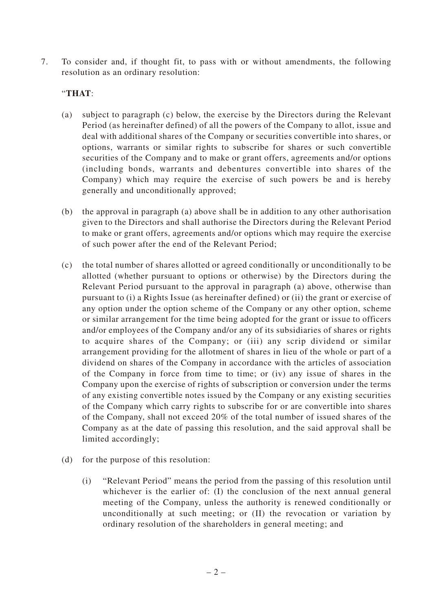7. To consider and, if thought fit, to pass with or without amendments, the following resolution as an ordinary resolution:

## "**THAT**:

- (a) subject to paragraph (c) below, the exercise by the Directors during the Relevant Period (as hereinafter defined) of all the powers of the Company to allot, issue and deal with additional shares of the Company or securities convertible into shares, or options, warrants or similar rights to subscribe for shares or such convertible securities of the Company and to make or grant offers, agreements and/or options (including bonds, warrants and debentures convertible into shares of the Company) which may require the exercise of such powers be and is hereby generally and unconditionally approved;
- (b) the approval in paragraph (a) above shall be in addition to any other authorisation given to the Directors and shall authorise the Directors during the Relevant Period to make or grant offers, agreements and/or options which may require the exercise of such power after the end of the Relevant Period;
- (c) the total number of shares allotted or agreed conditionally or unconditionally to be allotted (whether pursuant to options or otherwise) by the Directors during the Relevant Period pursuant to the approval in paragraph (a) above, otherwise than pursuant to (i) a Rights Issue (as hereinafter defined) or (ii) the grant or exercise of any option under the option scheme of the Company or any other option, scheme or similar arrangement for the time being adopted for the grant or issue to officers and/or employees of the Company and/or any of its subsidiaries of shares or rights to acquire shares of the Company; or (iii) any scrip dividend or similar arrangement providing for the allotment of shares in lieu of the whole or part of a dividend on shares of the Company in accordance with the articles of association of the Company in force from time to time; or (iv) any issue of shares in the Company upon the exercise of rights of subscription or conversion under the terms of any existing convertible notes issued by the Company or any existing securities of the Company which carry rights to subscribe for or are convertible into shares of the Company, shall not exceed 20% of the total number of issued shares of the Company as at the date of passing this resolution, and the said approval shall be limited accordingly;
- (d) for the purpose of this resolution:
	- (i) "Relevant Period" means the period from the passing of this resolution until whichever is the earlier of: (I) the conclusion of the next annual general meeting of the Company, unless the authority is renewed conditionally or unconditionally at such meeting; or (II) the revocation or variation by ordinary resolution of the shareholders in general meeting; and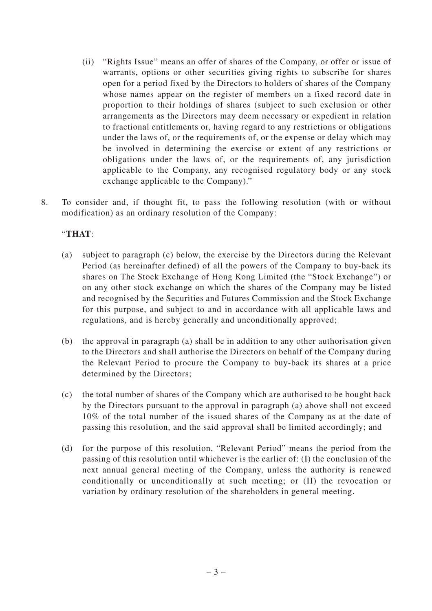- (ii) "Rights Issue" means an offer of shares of the Company, or offer or issue of warrants, options or other securities giving rights to subscribe for shares open for a period fixed by the Directors to holders of shares of the Company whose names appear on the register of members on a fixed record date in proportion to their holdings of shares (subject to such exclusion or other arrangements as the Directors may deem necessary or expedient in relation to fractional entitlements or, having regard to any restrictions or obligations under the laws of, or the requirements of, or the expense or delay which may be involved in determining the exercise or extent of any restrictions or obligations under the laws of, or the requirements of, any jurisdiction applicable to the Company, any recognised regulatory body or any stock exchange applicable to the Company)."
- 8. To consider and, if thought fit, to pass the following resolution (with or without modification) as an ordinary resolution of the Company:

## "**THAT**:

- (a) subject to paragraph (c) below, the exercise by the Directors during the Relevant Period (as hereinafter defined) of all the powers of the Company to buy-back its shares on The Stock Exchange of Hong Kong Limited (the "Stock Exchange") or on any other stock exchange on which the shares of the Company may be listed and recognised by the Securities and Futures Commission and the Stock Exchange for this purpose, and subject to and in accordance with all applicable laws and regulations, and is hereby generally and unconditionally approved;
- (b) the approval in paragraph (a) shall be in addition to any other authorisation given to the Directors and shall authorise the Directors on behalf of the Company during the Relevant Period to procure the Company to buy-back its shares at a price determined by the Directors;
- (c) the total number of shares of the Company which are authorised to be bought back by the Directors pursuant to the approval in paragraph (a) above shall not exceed 10% of the total number of the issued shares of the Company as at the date of passing this resolution, and the said approval shall be limited accordingly; and
- (d) for the purpose of this resolution, "Relevant Period" means the period from the passing of this resolution until whichever is the earlier of: (I) the conclusion of the next annual general meeting of the Company, unless the authority is renewed conditionally or unconditionally at such meeting; or (II) the revocation or variation by ordinary resolution of the shareholders in general meeting.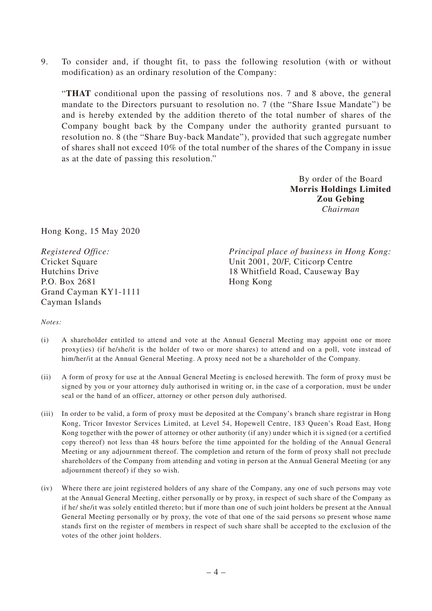9. To consider and, if thought fit, to pass the following resolution (with or without modification) as an ordinary resolution of the Company:

"**THAT** conditional upon the passing of resolutions nos. 7 and 8 above, the general mandate to the Directors pursuant to resolution no. 7 (the "Share Issue Mandate") be and is hereby extended by the addition thereto of the total number of shares of the Company bought back by the Company under the authority granted pursuant to resolution no. 8 (the "Share Buy-back Mandate"), provided that such aggregate number of shares shall not exceed 10% of the total number of the shares of the Company in issue as at the date of passing this resolution."

> By order of the Board **Morris Holdings Limited Zou Gebing** *Chairman*

Hong Kong, 15 May 2020

*Registered Office:* Cricket Square Hutchins Drive P.O. Box 2681 Grand Cayman KY1-1111 Cayman Islands

*Principal place of business in Hong Kong:* Unit 2001, 20/F, Citicorp Centre 18 Whitfield Road, Causeway Bay Hong Kong

*Notes:*

- (i) A shareholder entitled to attend and vote at the Annual General Meeting may appoint one or more proxy(ies) (if he/she/it is the holder of two or more shares) to attend and on a poll, vote instead of him/her/it at the Annual General Meeting. A proxy need not be a shareholder of the Company.
- (ii) A form of proxy for use at the Annual General Meeting is enclosed herewith. The form of proxy must be signed by you or your attorney duly authorised in writing or, in the case of a corporation, must be under seal or the hand of an officer, attorney or other person duly authorised.
- (iii) In order to be valid, a form of proxy must be deposited at the Company's branch share registrar in Hong Kong, Tricor Investor Services Limited, at Level 54, Hopewell Centre, 183 Queen's Road East, Hong Kong together with the power of attorney or other authority (if any) under which it is signed (or a certified copy thereof) not less than 48 hours before the time appointed for the holding of the Annual General Meeting or any adjournment thereof. The completion and return of the form of proxy shall not preclude shareholders of the Company from attending and voting in person at the Annual General Meeting (or any adjournment thereof) if they so wish.
- (iv) Where there are joint registered holders of any share of the Company, any one of such persons may vote at the Annual General Meeting, either personally or by proxy, in respect of such share of the Company as if he/ she/it was solely entitled thereto; but if more than one of such joint holders be present at the Annual General Meeting personally or by proxy, the vote of that one of the said persons so present whose name stands first on the register of members in respect of such share shall be accepted to the exclusion of the votes of the other joint holders.